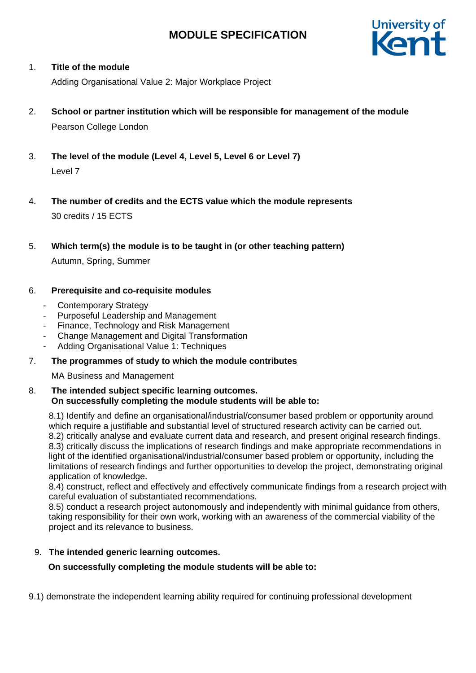

### 1. **Title of the module**

Adding Organisational Value 2: Major Workplace Project

- 2. **School or partner institution which will be responsible for management of the module** Pearson College London
- 3. **The level of the module (Level 4, Level 5, Level 6 or Level 7)** Level 7
- 4. **The number of credits and the ECTS value which the module represents**  30 credits / 15 ECTS
- 5. **Which term(s) the module is to be taught in (or other teaching pattern)**

Autumn, Spring, Summer

### 6. **Prerequisite and co-requisite modules**

- Contemporary Strategy
- Purposeful Leadership and Management
- Finance, Technology and Risk Management
- Change Management and Digital Transformation
- Adding Organisational Value 1: Techniques

# 7. **The programmes of study to which the module contributes**

MA Business and Management

### 8. **The intended subject specific learning outcomes. On successfully completing the module students will be able to:**

8.1) Identify and define an organisational/industrial/consumer based problem or opportunity around which require a justifiable and substantial level of structured research activity can be carried out. 8.2) critically analyse and evaluate current data and research, and present original research findings. 8.3) critically discuss the implications of research findings and make appropriate recommendations in light of the identified organisational/industrial/consumer based problem or opportunity, including the limitations of research findings and further opportunities to develop the project, demonstrating original application of knowledge.

8.4) construct, reflect and effectively and effectively communicate findings from a research project with careful evaluation of substantiated recommendations.

8.5) conduct a research project autonomously and independently with minimal guidance from others, taking responsibility for their own work, working with an awareness of the commercial viability of the project and its relevance to business.

# 9. **The intended generic learning outcomes.**

 **On successfully completing the module students will be able to:**

9.1) demonstrate the independent learning ability required for continuing professional development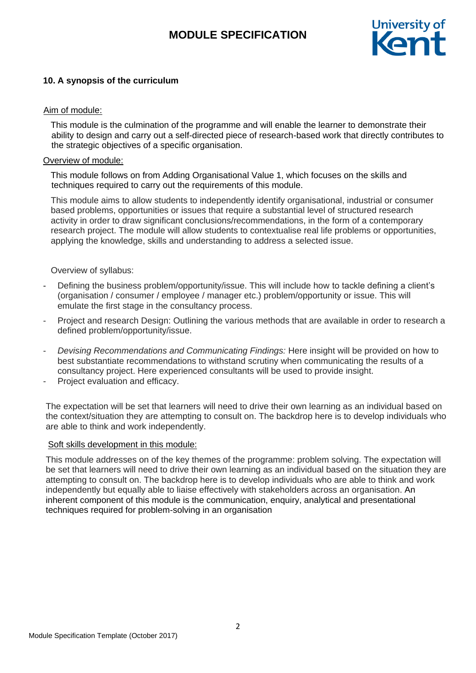

# **10. A synopsis of the curriculum**

# Aim of module:

 This module is the culmination of the programme and will enable the learner to demonstrate their ability to design and carry out a self-directed piece of research-based work that directly contributes to the strategic objectives of a specific organisation.

# Overview of module:

 This module follows on from Adding Organisational Value 1, which focuses on the skills and techniques required to carry out the requirements of this module.

This module aims to allow students to independently identify organisational, industrial or consumer based problems, opportunities or issues that require a substantial level of structured research activity in order to draw significant conclusions/recommendations, in the form of a contemporary research project. The module will allow students to contextualise real life problems or opportunities, applying the knowledge, skills and understanding to address a selected issue.

# Overview of syllabus:

- Defining the business problem/opportunity/issue. This will include how to tackle defining a client's (organisation / consumer / employee / manager etc.) problem/opportunity or issue. This will emulate the first stage in the consultancy process.
- Project and research Design: Outlining the various methods that are available in order to research a defined problem/opportunity/issue.
- *Devising Recommendations and Communicating Findings:* Here insight will be provided on how to best substantiate recommendations to withstand scrutiny when communicating the results of a consultancy project. Here experienced consultants will be used to provide insight.
- Project evaluation and efficacy.

The expectation will be set that learners will need to drive their own learning as an individual based on the context/situation they are attempting to consult on. The backdrop here is to develop individuals who are able to think and work independently.

# Soft skills development in this module:

This module addresses on of the key themes of the programme: problem solving. The expectation will be set that learners will need to drive their own learning as an individual based on the situation they are attempting to consult on. The backdrop here is to develop individuals who are able to think and work independently but equally able to liaise effectively with stakeholders across an organisation. An inherent component of this module is the communication, enquiry, analytical and presentational techniques required for problem-solving in an organisation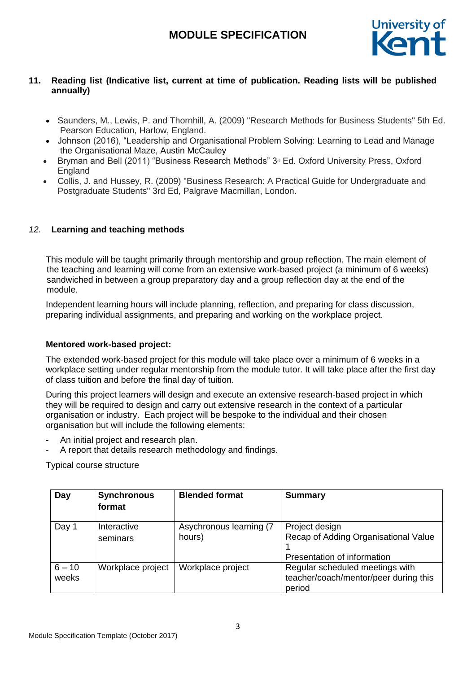

# **11. Reading list (Indicative list, current at time of publication. Reading lists will be published annually)**

- Saunders, M., Lewis, P. and Thornhill, A. (2009) "Research Methods for Business Students" 5th Ed. Pearson Education, Harlow, England.
- Johnson (2016), "Leadership and Organisational Problem Solving: Learning to Lead and Manage the Organisational Maze, Austin McCauley
- Bryman and Bell (2011) "Business Research Methods" 3<sup>d</sup> Ed. Oxford University Press, Oxford **England**
- Collis, J. and Hussey, R. (2009) "Business Research: A Practical Guide for Undergraduate and Postgraduate Students" 3rd Ed, Palgrave Macmillan, London.

# *12.* **Learning and teaching methods**

This module will be taught primarily through mentorship and group reflection. The main element of the teaching and learning will come from an extensive work-based project (a minimum of 6 weeks) sandwiched in between a group preparatory day and a group reflection day at the end of the module.

Independent learning hours will include planning, reflection, and preparing for class discussion, preparing individual assignments, and preparing and working on the workplace project.

#### **Mentored work-based project:**

The extended work-based project for this module will take place over a minimum of 6 weeks in a workplace setting under regular mentorship from the module tutor. It will take place after the first day of class tuition and before the final day of tuition.

During this project learners will design and execute an extensive research-based project in which they will be required to design and carry out extensive research in the context of a particular organisation or industry. Each project will be bespoke to the individual and their chosen organisation but will include the following elements:

- An initial project and research plan.
- A report that details research methodology and findings.

Typical course structure

| Day               | <b>Synchronous</b><br>format | <b>Blended format</b>             | <b>Summary</b>                                                                        |
|-------------------|------------------------------|-----------------------------------|---------------------------------------------------------------------------------------|
| Day 1             | Interactive<br>seminars      | Asychronous learning (7<br>hours) | Project design<br>Recap of Adding Organisational Value<br>Presentation of information |
| $6 - 10$<br>weeks | Workplace project            | Workplace project                 | Regular scheduled meetings with<br>teacher/coach/mentor/peer during this<br>period    |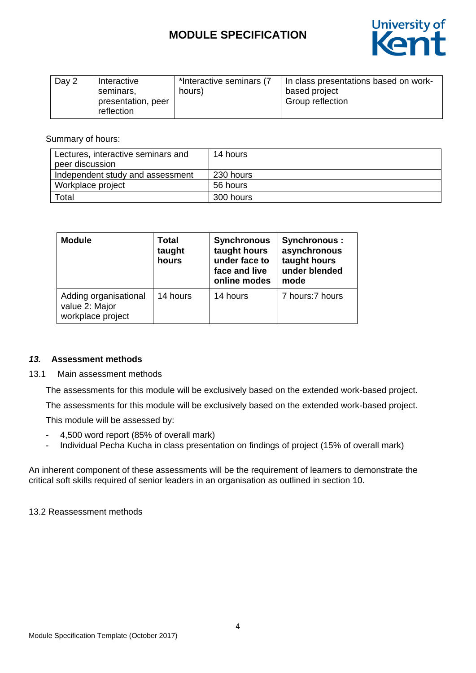

| Day 2 | Interactive<br>seminars.<br>presentation, peer | *Interactive seminars (7<br>hours) | In class presentations based on work-<br>based project<br>Group reflection |
|-------|------------------------------------------------|------------------------------------|----------------------------------------------------------------------------|
|       | reflection                                     |                                    |                                                                            |

Summary of hours:

| Lectures, interactive seminars and | 14 hours  |
|------------------------------------|-----------|
| peer discussion                    |           |
| Independent study and assessment   | 230 hours |
| Workplace project                  | 56 hours  |
| Total                              | 300 hours |

| <b>Module</b>                                                | <b>Total</b><br>taught<br>hours | <b>Synchronous</b><br>taught hours<br>under face to<br>face and live<br>online modes | <b>Synchronous:</b><br>asynchronous<br>taught hours<br>under blended<br>mode |
|--------------------------------------------------------------|---------------------------------|--------------------------------------------------------------------------------------|------------------------------------------------------------------------------|
| Adding organisational<br>value 2: Major<br>workplace project | 14 hours                        | 14 hours                                                                             | 7 hours: 7 hours                                                             |

# *13.* **Assessment methods**

#### 13.1 Main assessment methods

The assessments for this module will be exclusively based on the extended work-based project.

The assessments for this module will be exclusively based on the extended work-based project.

This module will be assessed by:

- 4,500 word report (85% of overall mark)
- Individual Pecha Kucha in class presentation on findings of project (15% of overall mark)

An inherent component of these assessments will be the requirement of learners to demonstrate the critical soft skills required of senior leaders in an organisation as outlined in section 10.

13.2 Reassessment methods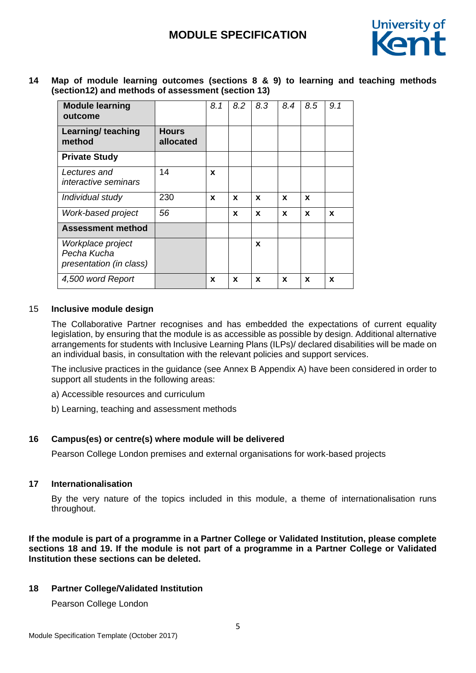

**14 Map of module learning outcomes (sections 8 & 9) to learning and teaching methods (section12) and methods of assessment (section 13)**

| <b>Module learning</b><br>outcome                           |                           | 8.1         | 8.2 | 8.3 | 8.4 | 8.5          | 9.1 |
|-------------------------------------------------------------|---------------------------|-------------|-----|-----|-----|--------------|-----|
| Learning/ teaching<br>method                                | <b>Hours</b><br>allocated |             |     |     |     |              |     |
| <b>Private Study</b>                                        |                           |             |     |     |     |              |     |
| Lectures and<br><i>interactive seminars</i>                 | 14                        | $\mathbf x$ |     |     |     |              |     |
| Individual study                                            | 230                       | X           | X   | X   | X   | $\mathbf{x}$ |     |
| Work-based project                                          | 56                        |             | X   | X   | X   | X            | X   |
| <b>Assessment method</b>                                    |                           |             |     |     |     |              |     |
| Workplace project<br>Pecha Kucha<br>presentation (in class) |                           |             |     | X   |     |              |     |
| 4,500 word Report                                           |                           | X           | X   | X   | X   | X            | X   |

### 15 **Inclusive module design**

The Collaborative Partner recognises and has embedded the expectations of current equality legislation, by ensuring that the module is as accessible as possible by design. Additional alternative arrangements for students with Inclusive Learning Plans (ILPs)/ declared disabilities will be made on an individual basis, in consultation with the relevant policies and support services.

The inclusive practices in the guidance (see Annex B Appendix A) have been considered in order to support all students in the following areas:

- a) Accessible resources and curriculum
- b) Learning, teaching and assessment methods

# **16 Campus(es) or centre(s) where module will be delivered**

Pearson College London premises and external organisations for work-based projects

#### **17 Internationalisation**

By the very nature of the topics included in this module, a theme of internationalisation runs throughout.

**If the module is part of a programme in a Partner College or Validated Institution, please complete sections 18 and 19. If the module is not part of a programme in a Partner College or Validated Institution these sections can be deleted.**

# **18 Partner College/Validated Institution**

Pearson College London